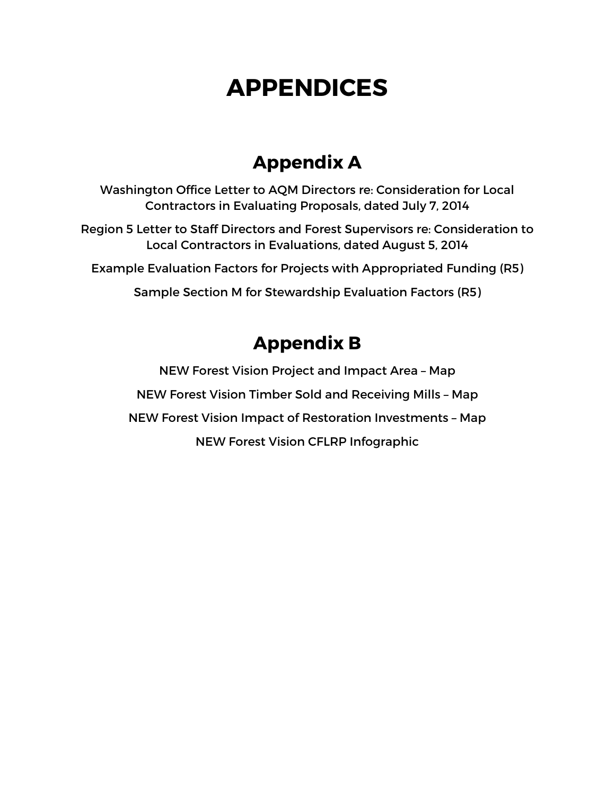# **APPENDICES**

## **Appendix A**

Washington Office Letter to AQM Directors re: Consideration for Local Contractors in Evaluating Proposals, dated July 7, 2014

Region 5 Letter to Staff Directors and Forest Supervisors re: Consideration to Local Contractors in Evaluations, dated August 5, 2014

Example Evaluation Factors for Projects with Appropriated Funding (R5)

Sample Section M for Stewardship Evaluation Factors (R5)

## **Appendix B**

NEW Forest Vision Project and Impact Area – Map NEW Forest Vision Timber Sold and Receiving Mills – Map NEW Forest Vision Impact of Restoration Investments – Map NEW Forest Vision CFLRP Infographic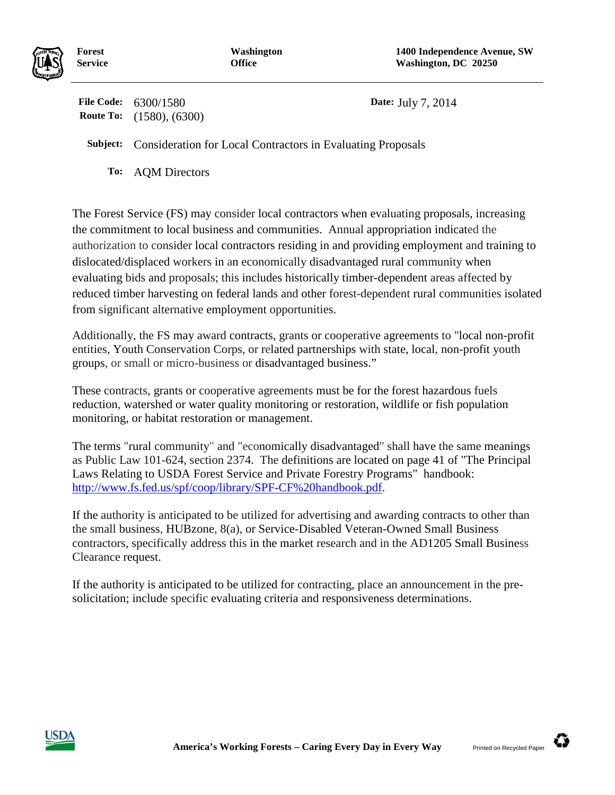

**Forest Service**

**File Code:** 6300/1580 **Date:** July 7, 2014 **Route To:** (1580), (6300)

**Subject:** Consideration for Local Contractors in Evaluating Proposals

**To:** AQM Directors

The Forest Service (FS) may consider local contractors when evaluating proposals, increasing the commitment to local business and communities. Annual appropriation indicated the authorization to consider local contractors residing in and providing employment and training to dislocated/displaced workers in an economically disadvantaged rural community when evaluating bids and proposals; this includes historically timber-dependent areas affected by reduced timber harvesting on federal lands and other forest-dependent rural communities isolated from significant alternative employment opportunities.

Additionally, the FS may award contracts, grants or cooperative agreements to "local non-profit entities, Youth Conservation Corps, or related partnerships with state, local, non-profit youth groups, or small or micro-business or disadvantaged business."

These contracts, grants or cooperative agreements must be for the forest hazardous fuels reduction, watershed or water quality monitoring or restoration, wildlife or fish population monitoring, or habitat restoration or management.

The terms "rural community" and "economically disadvantaged" shall have the same meanings as Public Law 101-624, section 2374. The definitions are located on page 41 of "The Principal Laws Relating to USDA Forest Service and Private Forestry Programs" handbook: [http://www.fs.fed.us/spf/coop/library/SPF-CF%20handbook.pdf.](http://www.fs.fed.us/spf/coop/library/SPF-CF%20handbook.pdf)

If the authority is anticipated to be utilized for advertising and awarding contracts to other than the small business, HUBzone, 8(a), or Service-Disabled Veteran-Owned Small Business contractors, specifically address this in the market research and in the AD1205 Small Business Clearance request.

If the authority is anticipated to be utilized for contracting, place an announcement in the presolicitation; include specific evaluating criteria and responsiveness determinations.



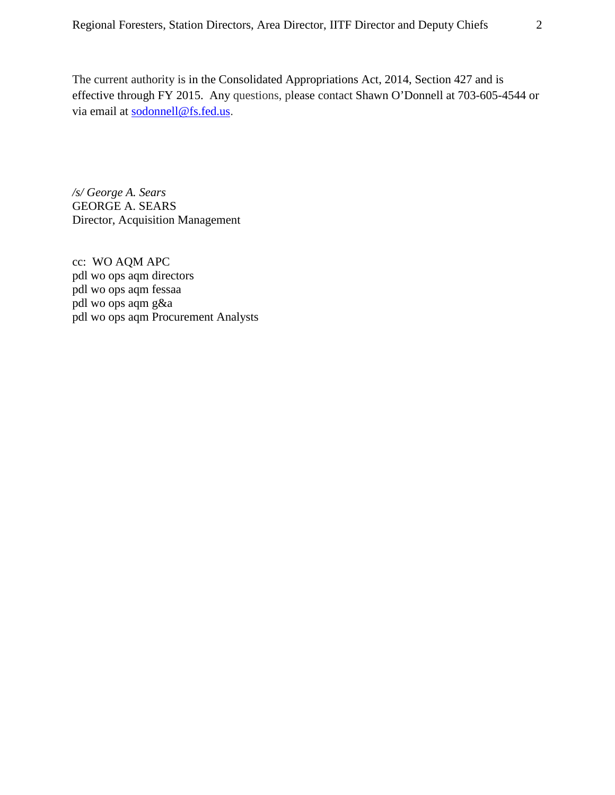The current authority is in the Consolidated Appropriations Act, 2014, Section 427 and is effective through FY 2015. Any questions, please contact Shawn O'Donnell at 703-605-4544 or via email at [sodonnell@fs.fed.us.](mailto:sodonnell@fs.fed.us)

*/s/ George A. Sears* GEORGE A. SEARS Director, Acquisition Management

cc: WO AQM APC pdl wo ops aqm directors pdl wo ops aqm fessaa pdl wo ops aqm g&a pdl wo ops aqm Procurement Analysts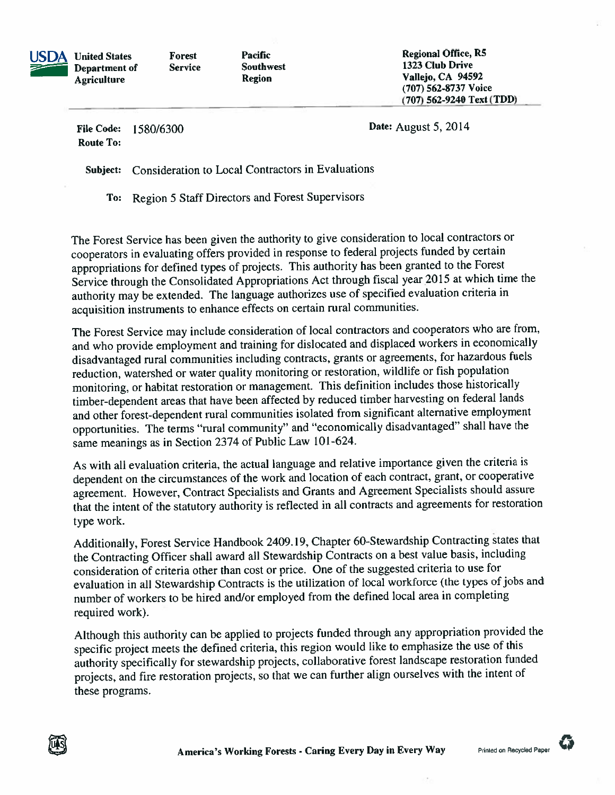

**Forest Service**  Pacific **Southwest Region** 

**Regional Office, R5** 1323 Club Drive Vallejo, CA 94592 (707) 562-8737 Voice (707) 562-9240 Text (TDD)

**File Code:** 1580/6300 **Route To:** 

Date: August 5, 2014

Consideration to Local Contractors in Evaluations Subject:

To: Region 5 Staff Directors and Forest Supervisors

The Forest Service has been given the authority to give consideration to local contractors or cooperators in evaluating offers provided in response to federal projects funded by certain appropriations for defined types of projects. This authority has been granted to the Forest Service through the Consolidated Appropriations Act through fiscal year 2015 at which time the authority may be extended. The language authorizes use of specified evaluation criteria in acquisition instruments to enhance effects on certain rural communities.

The Forest Service may include consideration of local contractors and cooperators who are from, and who provide employment and training for dislocated and displaced workers in economically disadvantaged rural communities including contracts, grants or agreements, for hazardous fuels reduction, watershed or water quality monitoring or restoration, wildlife or fish population monitoring, or habitat restoration or management. This definition includes those historically timber-dependent areas that have been affected by reduced timber harvesting on federal lands and other forest-dependent rural communities isolated from significant alternative employment opportunities. The terms "rural community" and "economically disadvantaged" shall have the same meanings as in Section 2374 of Public Law 101-624.

As with all evaluation criteria, the actual language and relative importance given the criteria is dependent on the circumstances of the work and location of each contract, grant, or cooperative agreement. However, Contract Specialists and Grants and Agreement Specialists should assure that the intent of the statutory authority is reflected in all contracts and agreements for restoration type work.

Additionally, Forest Service Handbook 2409.19, Chapter 60-Stewardship Contracting states that the Contracting Officer shall award all Stewardship Contracts on a best value basis, including consideration of criteria other than cost or price. One of the suggested criteria to use for evaluation in all Stewardship Contracts is the utilization of local workforce (the types of jobs and number of workers to be hired and/or employed from the defined local area in completing required work).

Although this authority can be applied to projects funded through any appropriation provided the specific project meets the defined criteria, this region would like to emphasize the use of this authority specifically for stewardship projects, collaborative forest landscape restoration funded projects, and fire restoration projects, so that we can further align ourselves with the intent of these programs.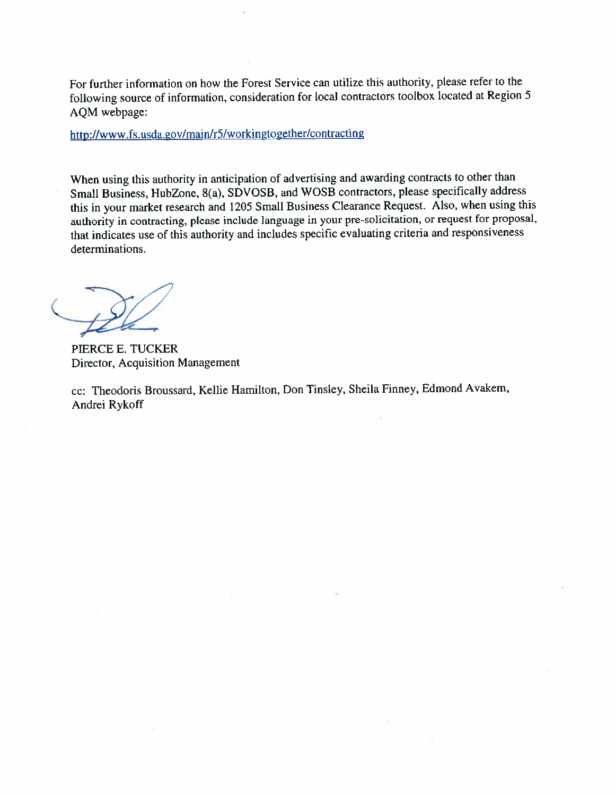For further information on how the Forest Service can utilize this authority, please refer to the following source of information, consideration for local contractors toolbox located at Region 5 AQM webpage:

http://www.fs.usda.gov/main/r5/workingtogether/contracting

When using this authority in anticipation of advertising and awarding contracts to other than Small Business, HubZone, 8(a), SDVOSB, and WOSB contractors, please specifically address this in your market research and 1205 Small Business Clearance Request. Also, when using this authority in contracting, please include language in your pre-solicitation, or request for proposal, that indicates use of this authority and includes specific evaluating criteria and responsiveness determinations.

PIERCE E. TUCKER Director, Acquisition Management

cc: Theodoris Broussard, Kellie Hamilton, Don Tinsley, Sheila Finney, Edmond Avakem, Andrei Rykoff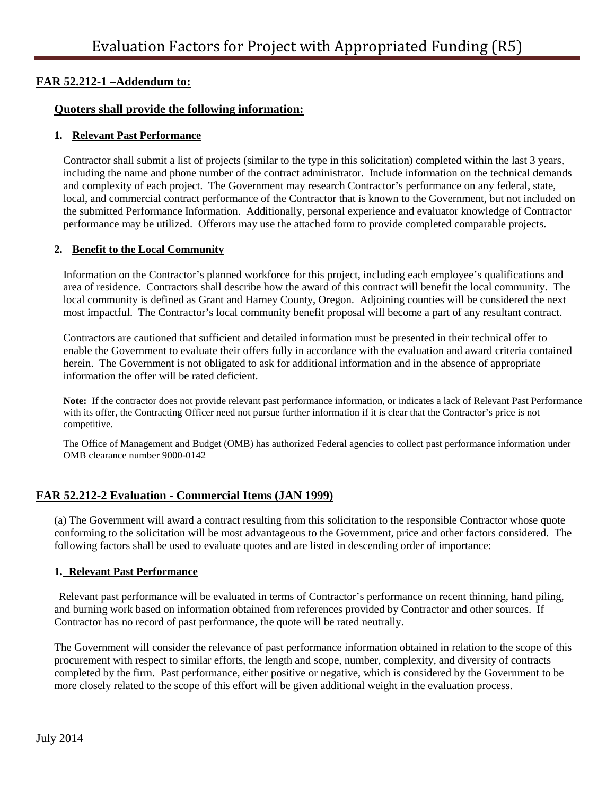#### **FAR 52.212-1 –Addendum to:**

#### **Quoters shall provide the following information:**

#### **1. Relevant Past Performance**

Contractor shall submit a list of projects (similar to the type in this solicitation) completed within the last 3 years, including the name and phone number of the contract administrator. Include information on the technical demands and complexity of each project. The Government may research Contractor's performance on any federal, state, local, and commercial contract performance of the Contractor that is known to the Government, but not included on the submitted Performance Information. Additionally, personal experience and evaluator knowledge of Contractor performance may be utilized. Offerors may use the attached form to provide completed comparable projects.

#### **2. Benefit to the Local Community**

Information on the Contractor's planned workforce for this project, including each employee's qualifications and area of residence. Contractors shall describe how the award of this contract will benefit the local community. The local community is defined as Grant and Harney County, Oregon. Adjoining counties will be considered the next most impactful. The Contractor's local community benefit proposal will become a part of any resultant contract.

Contractors are cautioned that sufficient and detailed information must be presented in their technical offer to enable the Government to evaluate their offers fully in accordance with the evaluation and award criteria contained herein. The Government is not obligated to ask for additional information and in the absence of appropriate information the offer will be rated deficient.

**Note:** If the contractor does not provide relevant past performance information, or indicates a lack of Relevant Past Performance with its offer, the Contracting Officer need not pursue further information if it is clear that the Contractor's price is not competitive.

The Office of Management and Budget (OMB) has authorized Federal agencies to collect past performance information under OMB clearance number 9000-0142

#### **FAR 52.212-2 Evaluation - Commercial Items (JAN 1999)**

(a) The Government will award a contract resulting from this solicitation to the responsible Contractor whose quote conforming to the solicitation will be most advantageous to the Government, price and other factors considered. The following factors shall be used to evaluate quotes and are listed in descending order of importance:

#### **1. Relevant Past Performance**

Relevant past performance will be evaluated in terms of Contractor's performance on recent thinning, hand piling, and burning work based on information obtained from references provided by Contractor and other sources. If Contractor has no record of past performance, the quote will be rated neutrally.

The Government will consider the relevance of past performance information obtained in relation to the scope of this procurement with respect to similar efforts, the length and scope, number, complexity, and diversity of contracts completed by the firm. Past performance, either positive or negative, which is considered by the Government to be more closely related to the scope of this effort will be given additional weight in the evaluation process.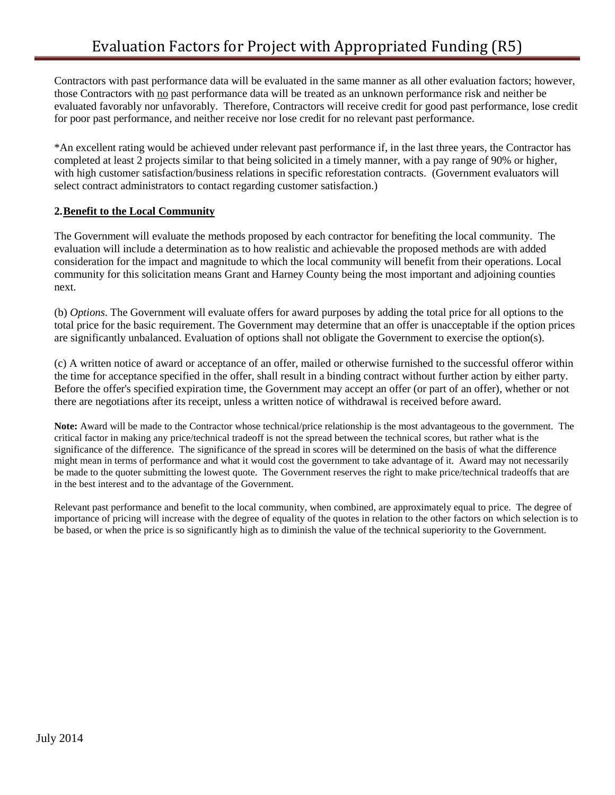Contractors with past performance data will be evaluated in the same manner as all other evaluation factors; however, those Contractors with no past performance data will be treated as an unknown performance risk and neither be evaluated favorably nor unfavorably. Therefore, Contractors will receive credit for good past performance, lose credit for poor past performance, and neither receive nor lose credit for no relevant past performance.

\*An excellent rating would be achieved under relevant past performance if, in the last three years, the Contractor has completed at least 2 projects similar to that being solicited in a timely manner, with a pay range of 90% or higher, with high customer satisfaction/business relations in specific reforestation contracts. (Government evaluators will select contract administrators to contact regarding customer satisfaction.)

#### **2.Benefit to the Local Community**

The Government will evaluate the methods proposed by each contractor for benefiting the local community. The evaluation will include a determination as to how realistic and achievable the proposed methods are with added consideration for the impact and magnitude to which the local community will benefit from their operations. Local community for this solicitation means Grant and Harney County being the most important and adjoining counties next.

(b) *Options*. The Government will evaluate offers for award purposes by adding the total price for all options to the total price for the basic requirement. The Government may determine that an offer is unacceptable if the option prices are significantly unbalanced. Evaluation of options shall not obligate the Government to exercise the option(s).

(c) A written notice of award or acceptance of an offer, mailed or otherwise furnished to the successful offeror within the time for acceptance specified in the offer, shall result in a binding contract without further action by either party. Before the offer's specified expiration time, the Government may accept an offer (or part of an offer), whether or not there are negotiations after its receipt, unless a written notice of withdrawal is received before award.

**Note:** Award will be made to the Contractor whose technical/price relationship is the most advantageous to the government. The critical factor in making any price/technical tradeoff is not the spread between the technical scores, but rather what is the significance of the difference. The significance of the spread in scores will be determined on the basis of what the difference might mean in terms of performance and what it would cost the government to take advantage of it. Award may not necessarily be made to the quoter submitting the lowest quote. The Government reserves the right to make price/technical tradeoffs that are in the best interest and to the advantage of the Government.

Relevant past performance and benefit to the local community, when combined, are approximately equal to price. The degree of importance of pricing will increase with the degree of equality of the quotes in relation to the other factors on which selection is to be based, or when the price is so significantly high as to diminish the value of the technical superiority to the Government.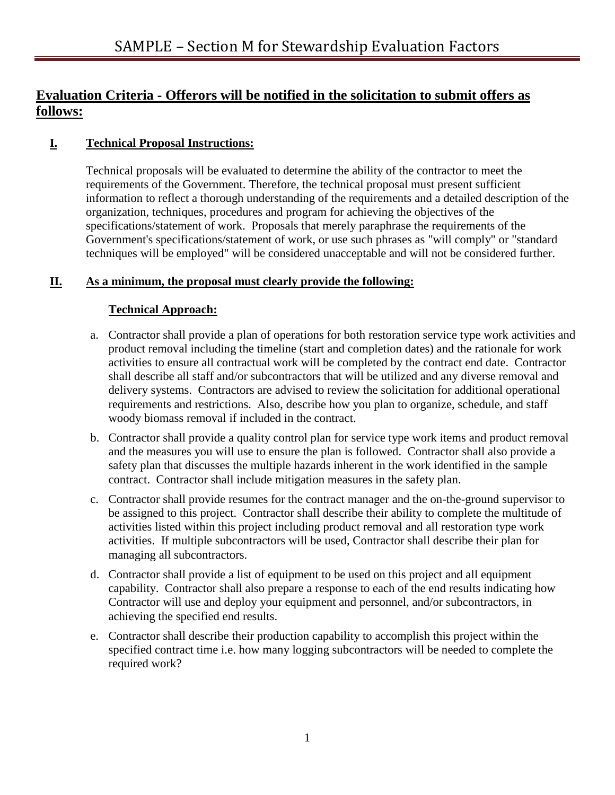### **Evaluation Criteria - Offerors will be notified in the solicitation to submit offers as follows:**

#### **I. Technical Proposal Instructions:**

Technical proposals will be evaluated to determine the ability of the contractor to meet the requirements of the Government. Therefore, the technical proposal must present sufficient information to reflect a thorough understanding of the requirements and a detailed description of the organization, techniques, procedures and program for achieving the objectives of the specifications/statement of work. Proposals that merely paraphrase the requirements of the Government's specifications/statement of work, or use such phrases as "will comply" or "standard techniques will be employed" will be considered unacceptable and will not be considered further.

#### **II. As a minimum, the proposal must clearly provide the following:**

#### **Technical Approach:**

- a. Contractor shall provide a plan of operations for both restoration service type work activities and product removal including the timeline (start and completion dates) and the rationale for work activities to ensure all contractual work will be completed by the contract end date. Contractor shall describe all staff and/or subcontractors that will be utilized and any diverse removal and delivery systems. Contractors are advised to review the solicitation for additional operational requirements and restrictions. Also, describe how you plan to organize, schedule, and staff woody biomass removal if included in the contract.
- b. Contractor shall provide a quality control plan for service type work items and product removal and the measures you will use to ensure the plan is followed. Contractor shall also provide a safety plan that discusses the multiple hazards inherent in the work identified in the sample contract. Contractor shall include mitigation measures in the safety plan.
- c. Contractor shall provide resumes for the contract manager and the on-the-ground supervisor to be assigned to this project. Contractor shall describe their ability to complete the multitude of activities listed within this project including product removal and all restoration type work activities. If multiple subcontractors will be used, Contractor shall describe their plan for managing all subcontractors.
- d. Contractor shall provide a list of equipment to be used on this project and all equipment capability. Contractor shall also prepare a response to each of the end results indicating how Contractor will use and deploy your equipment and personnel, and/or subcontractors, in achieving the specified end results.
- e. Contractor shall describe their production capability to accomplish this project within the specified contract time i.e. how many logging subcontractors will be needed to complete the required work?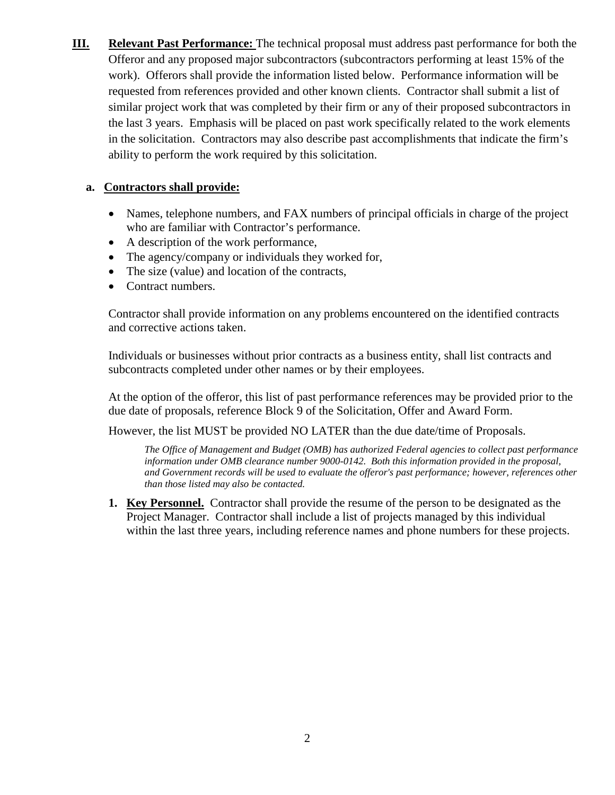**III. Relevant Past Performance:** The technical proposal must address past performance for both the Offeror and any proposed major subcontractors (subcontractors performing at least 15% of the work). Offerors shall provide the information listed below. Performance information will be requested from references provided and other known clients. Contractor shall submit a list of similar project work that was completed by their firm or any of their proposed subcontractors in the last 3 years. Emphasis will be placed on past work specifically related to the work elements in the solicitation. Contractors may also describe past accomplishments that indicate the firm's ability to perform the work required by this solicitation.

#### **a. Contractors shall provide:**

- Names, telephone numbers, and FAX numbers of principal officials in charge of the project who are familiar with Contractor's performance.
- A description of the work performance,
- The agency/company or individuals they worked for,
- The size (value) and location of the contracts,
- Contract numbers.

Contractor shall provide information on any problems encountered on the identified contracts and corrective actions taken.

Individuals or businesses without prior contracts as a business entity, shall list contracts and subcontracts completed under other names or by their employees.

At the option of the offeror, this list of past performance references may be provided prior to the due date of proposals, reference Block 9 of the Solicitation, Offer and Award Form.

However, the list MUST be provided NO LATER than the due date/time of Proposals.

*The Office of Management and Budget (OMB) has authorized Federal agencies to collect past performance information under OMB clearance number 9000-0142. Both this information provided in the proposal, and Government records will be used to evaluate the offeror's past performance; however, references other than those listed may also be contacted.* 

**1. Key Personnel.** Contractor shall provide the resume of the person to be designated as the Project Manager. Contractor shall include a list of projects managed by this individual within the last three years, including reference names and phone numbers for these projects.